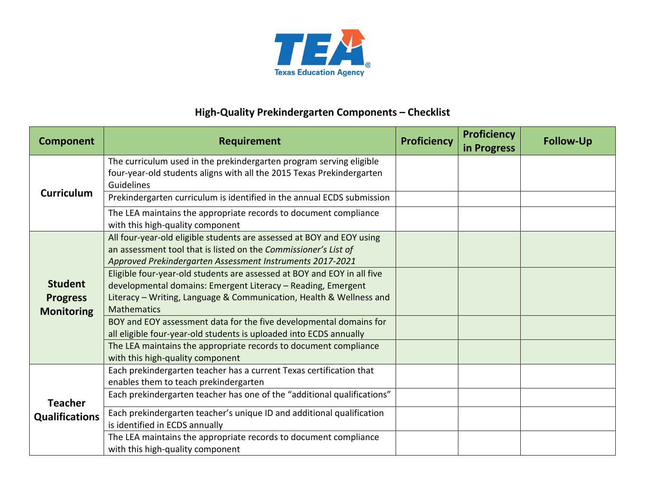

## **High-Quality Prekindergarten Components – Checklist**

| <b>Component</b>                                       | <b>Requirement</b>                                                                                                                                                                                                                   | <b>Proficiency</b> | <b>Proficiency</b><br>in Progress | <b>Follow-Up</b> |
|--------------------------------------------------------|--------------------------------------------------------------------------------------------------------------------------------------------------------------------------------------------------------------------------------------|--------------------|-----------------------------------|------------------|
| <b>Curriculum</b>                                      | The curriculum used in the prekindergarten program serving eligible<br>four-year-old students aligns with all the 2015 Texas Prekindergarten<br>Guidelines                                                                           |                    |                                   |                  |
|                                                        | Prekindergarten curriculum is identified in the annual ECDS submission                                                                                                                                                               |                    |                                   |                  |
|                                                        | The LEA maintains the appropriate records to document compliance<br>with this high-quality component                                                                                                                                 |                    |                                   |                  |
| <b>Student</b><br><b>Progress</b><br><b>Monitoring</b> | All four-year-old eligible students are assessed at BOY and EOY using<br>an assessment tool that is listed on the Commissioner's List of<br>Approved Prekindergarten Assessment Instruments 2017-2021                                |                    |                                   |                  |
|                                                        | Eligible four-year-old students are assessed at BOY and EOY in all five<br>developmental domains: Emergent Literacy - Reading, Emergent<br>Literacy - Writing, Language & Communication, Health & Wellness and<br><b>Mathematics</b> |                    |                                   |                  |
|                                                        | BOY and EOY assessment data for the five developmental domains for<br>all eligible four-year-old students is uploaded into ECDS annually                                                                                             |                    |                                   |                  |
|                                                        | The LEA maintains the appropriate records to document compliance<br>with this high-quality component                                                                                                                                 |                    |                                   |                  |
| <b>Teacher</b><br><b>Qualifications</b>                | Each prekindergarten teacher has a current Texas certification that<br>enables them to teach prekindergarten                                                                                                                         |                    |                                   |                  |
|                                                        | Each prekindergarten teacher has one of the "additional qualifications"                                                                                                                                                              |                    |                                   |                  |
|                                                        | Each prekindergarten teacher's unique ID and additional qualification<br>is identified in ECDS annually                                                                                                                              |                    |                                   |                  |
|                                                        | The LEA maintains the appropriate records to document compliance<br>with this high-quality component                                                                                                                                 |                    |                                   |                  |